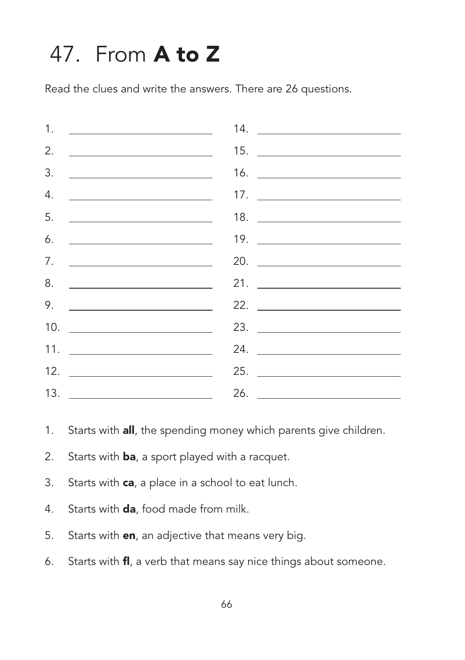## 47. From **A to Z**

Read the clues and write the answers. There are 26 questions.



- 1. Starts with all, the spending money which parents give children.
- 2. Starts with **ba**, a sport played with a racquet.
- 3. Starts with **ca**, a place in a school to eat lunch.
- 4. Starts with **da**, food made from milk.
- 5. Starts with **en**, an adjective that means very big.
- 6. Starts with fl, a verb that means say nice things about someone.